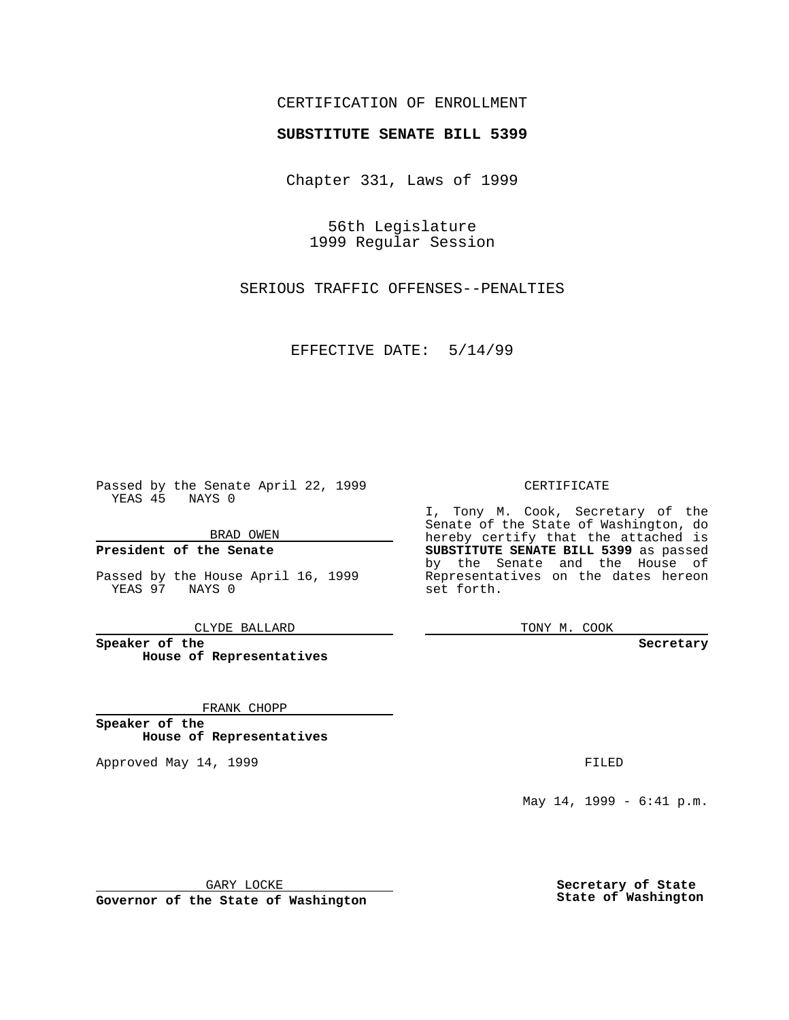## CERTIFICATION OF ENROLLMENT

# **SUBSTITUTE SENATE BILL 5399**

Chapter 331, Laws of 1999

56th Legislature 1999 Regular Session

SERIOUS TRAFFIC OFFENSES--PENALTIES

EFFECTIVE DATE: 5/14/99

Passed by the Senate April 22, 1999 YEAS 45 NAYS 0

BRAD OWEN

**President of the Senate**

Passed by the House April 16, 1999 YEAS 97 NAYS 0

CLYDE BALLARD

**Speaker of the House of Representatives**

FRANK CHOPP

**Speaker of the House of Representatives**

Approved May 14, 1999 **FILED** 

#### CERTIFICATE

I, Tony M. Cook, Secretary of the Senate of the State of Washington, do hereby certify that the attached is **SUBSTITUTE SENATE BILL 5399** as passed by the Senate and the House of Representatives on the dates hereon set forth.

TONY M. COOK

#### **Secretary**

May 14, 1999 - 6:41 p.m.

GARY LOCKE

**Governor of the State of Washington**

**Secretary of State State of Washington**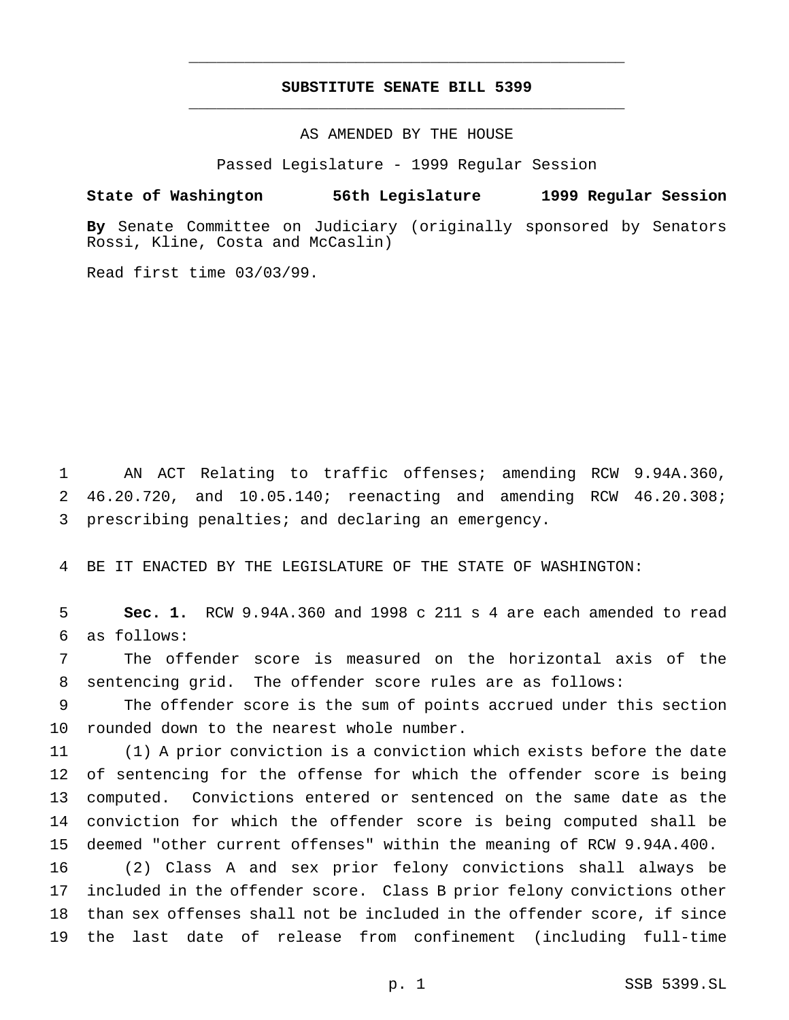## **SUBSTITUTE SENATE BILL 5399** \_\_\_\_\_\_\_\_\_\_\_\_\_\_\_\_\_\_\_\_\_\_\_\_\_\_\_\_\_\_\_\_\_\_\_\_\_\_\_\_\_\_\_\_\_\_\_

\_\_\_\_\_\_\_\_\_\_\_\_\_\_\_\_\_\_\_\_\_\_\_\_\_\_\_\_\_\_\_\_\_\_\_\_\_\_\_\_\_\_\_\_\_\_\_

AS AMENDED BY THE HOUSE

Passed Legislature - 1999 Regular Session

### **State of Washington 56th Legislature 1999 Regular Session**

**By** Senate Committee on Judiciary (originally sponsored by Senators Rossi, Kline, Costa and McCaslin)

Read first time 03/03/99.

 AN ACT Relating to traffic offenses; amending RCW 9.94A.360, 46.20.720, and 10.05.140; reenacting and amending RCW 46.20.308; prescribing penalties; and declaring an emergency.

BE IT ENACTED BY THE LEGISLATURE OF THE STATE OF WASHINGTON:

 **Sec. 1.** RCW 9.94A.360 and 1998 c 211 s 4 are each amended to read as follows:

 The offender score is measured on the horizontal axis of the sentencing grid. The offender score rules are as follows:

 The offender score is the sum of points accrued under this section rounded down to the nearest whole number.

 (1) A prior conviction is a conviction which exists before the date of sentencing for the offense for which the offender score is being computed. Convictions entered or sentenced on the same date as the conviction for which the offender score is being computed shall be deemed "other current offenses" within the meaning of RCW 9.94A.400.

 (2) Class A and sex prior felony convictions shall always be included in the offender score. Class B prior felony convictions other than sex offenses shall not be included in the offender score, if since the last date of release from confinement (including full-time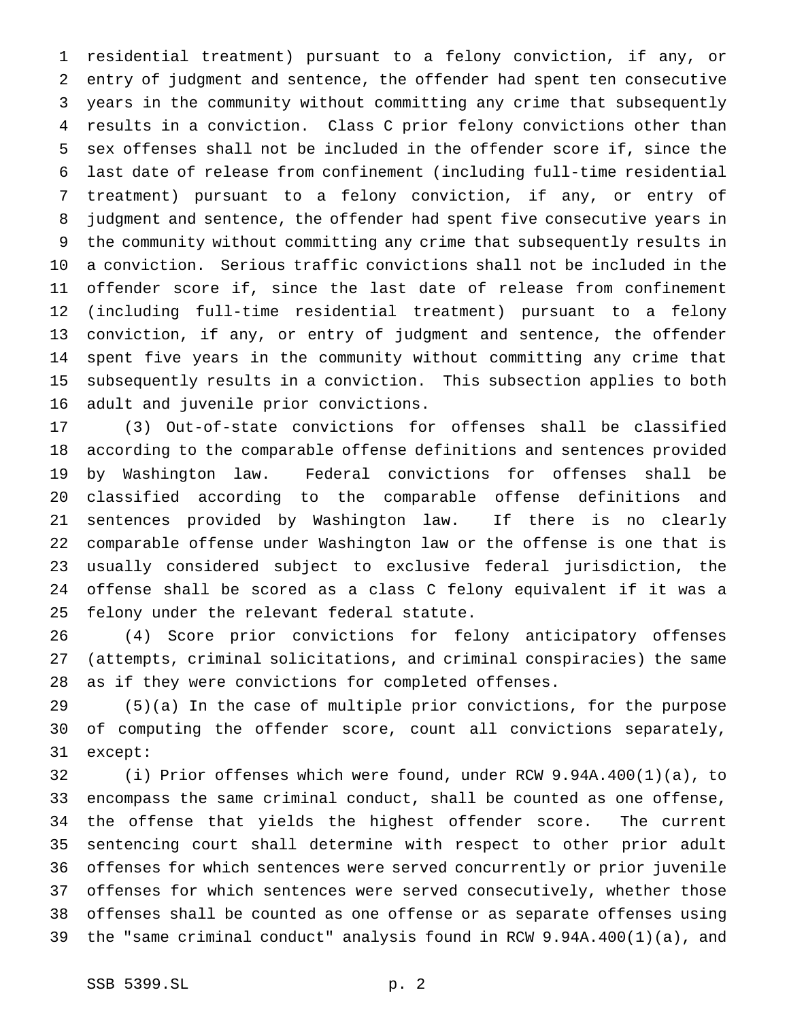residential treatment) pursuant to a felony conviction, if any, or entry of judgment and sentence, the offender had spent ten consecutive years in the community without committing any crime that subsequently results in a conviction. Class C prior felony convictions other than sex offenses shall not be included in the offender score if, since the last date of release from confinement (including full-time residential treatment) pursuant to a felony conviction, if any, or entry of judgment and sentence, the offender had spent five consecutive years in the community without committing any crime that subsequently results in a conviction. Serious traffic convictions shall not be included in the offender score if, since the last date of release from confinement (including full-time residential treatment) pursuant to a felony conviction, if any, or entry of judgment and sentence, the offender spent five years in the community without committing any crime that subsequently results in a conviction. This subsection applies to both adult and juvenile prior convictions.

 (3) Out-of-state convictions for offenses shall be classified according to the comparable offense definitions and sentences provided by Washington law. Federal convictions for offenses shall be classified according to the comparable offense definitions and sentences provided by Washington law. If there is no clearly comparable offense under Washington law or the offense is one that is usually considered subject to exclusive federal jurisdiction, the offense shall be scored as a class C felony equivalent if it was a felony under the relevant federal statute.

 (4) Score prior convictions for felony anticipatory offenses (attempts, criminal solicitations, and criminal conspiracies) the same as if they were convictions for completed offenses.

 (5)(a) In the case of multiple prior convictions, for the purpose of computing the offender score, count all convictions separately, except:

 (i) Prior offenses which were found, under RCW 9.94A.400(1)(a), to encompass the same criminal conduct, shall be counted as one offense, the offense that yields the highest offender score. The current sentencing court shall determine with respect to other prior adult offenses for which sentences were served concurrently or prior juvenile offenses for which sentences were served consecutively, whether those offenses shall be counted as one offense or as separate offenses using the "same criminal conduct" analysis found in RCW 9.94A.400(1)(a), and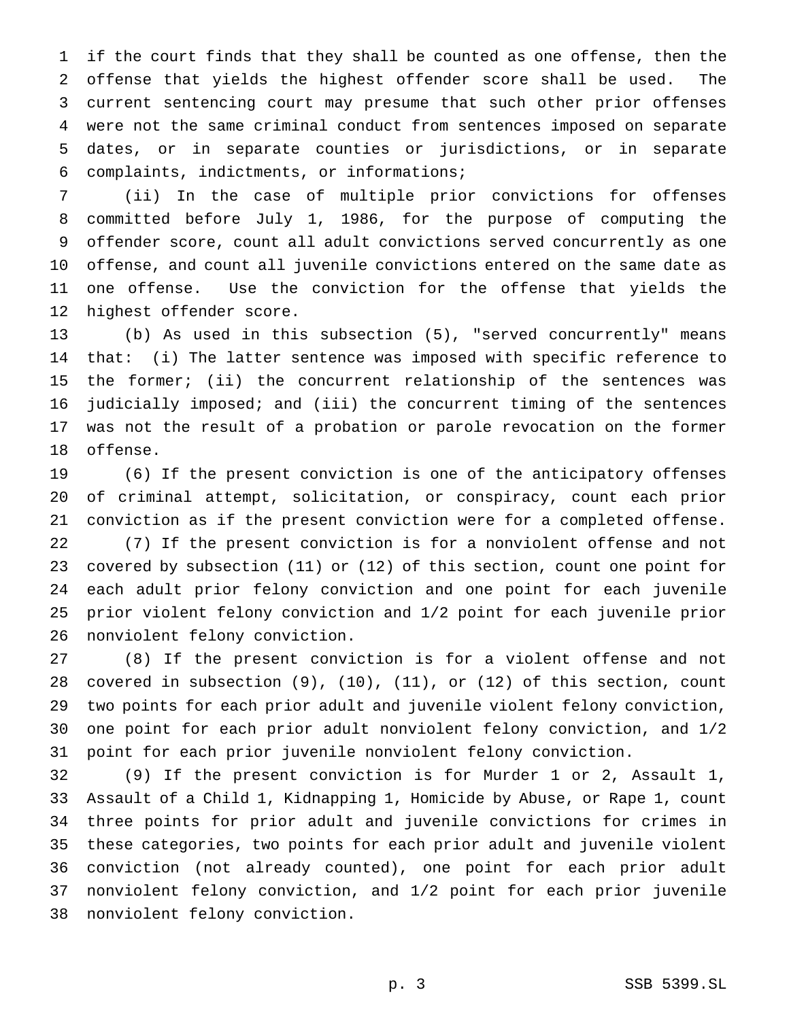if the court finds that they shall be counted as one offense, then the offense that yields the highest offender score shall be used. The current sentencing court may presume that such other prior offenses were not the same criminal conduct from sentences imposed on separate dates, or in separate counties or jurisdictions, or in separate complaints, indictments, or informations;

 (ii) In the case of multiple prior convictions for offenses committed before July 1, 1986, for the purpose of computing the offender score, count all adult convictions served concurrently as one offense, and count all juvenile convictions entered on the same date as one offense. Use the conviction for the offense that yields the highest offender score.

 (b) As used in this subsection (5), "served concurrently" means that: (i) The latter sentence was imposed with specific reference to the former; (ii) the concurrent relationship of the sentences was judicially imposed; and (iii) the concurrent timing of the sentences was not the result of a probation or parole revocation on the former offense.

 (6) If the present conviction is one of the anticipatory offenses of criminal attempt, solicitation, or conspiracy, count each prior conviction as if the present conviction were for a completed offense. (7) If the present conviction is for a nonviolent offense and not covered by subsection (11) or (12) of this section, count one point for each adult prior felony conviction and one point for each juvenile prior violent felony conviction and 1/2 point for each juvenile prior nonviolent felony conviction.

 (8) If the present conviction is for a violent offense and not covered in subsection (9), (10), (11), or (12) of this section, count two points for each prior adult and juvenile violent felony conviction, one point for each prior adult nonviolent felony conviction, and 1/2 point for each prior juvenile nonviolent felony conviction.

 (9) If the present conviction is for Murder 1 or 2, Assault 1, Assault of a Child 1, Kidnapping 1, Homicide by Abuse, or Rape 1, count three points for prior adult and juvenile convictions for crimes in these categories, two points for each prior adult and juvenile violent conviction (not already counted), one point for each prior adult nonviolent felony conviction, and 1/2 point for each prior juvenile nonviolent felony conviction.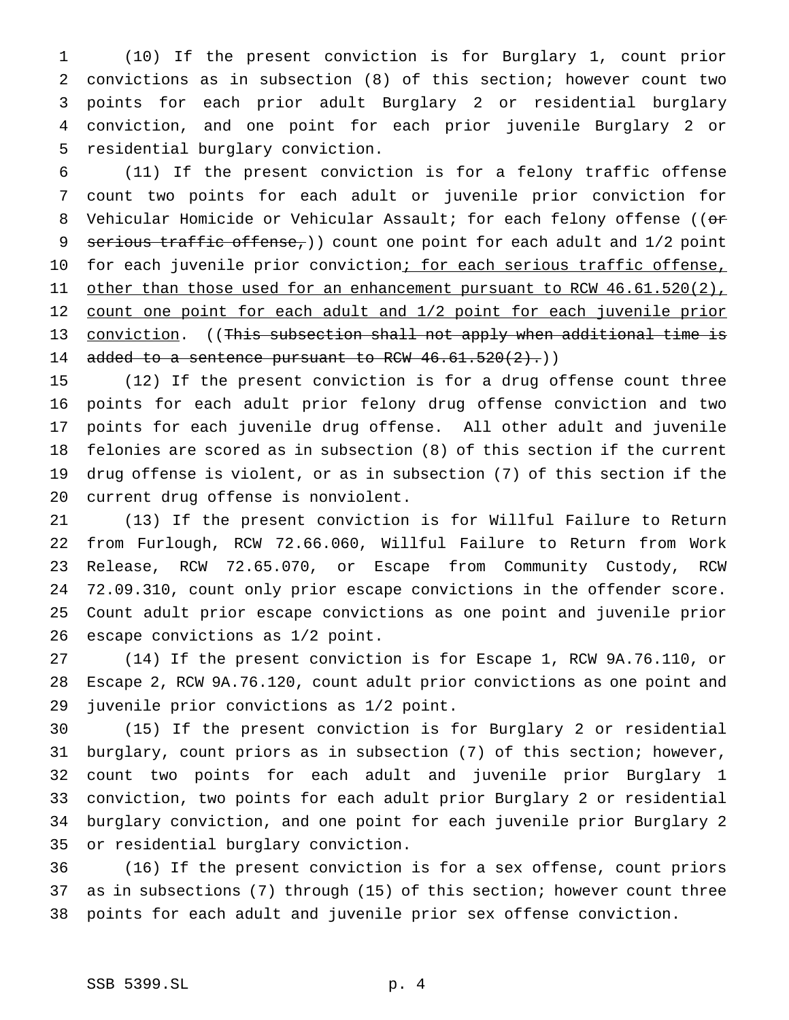(10) If the present conviction is for Burglary 1, count prior convictions as in subsection (8) of this section; however count two points for each prior adult Burglary 2 or residential burglary conviction, and one point for each prior juvenile Burglary 2 or residential burglary conviction.

 (11) If the present conviction is for a felony traffic offense count two points for each adult or juvenile prior conviction for 8 Vehicular Homicide or Vehicular Assault; for each felony offense ((or 9 serious traffic offense,)) count one point for each adult and 1/2 point 10 for each juvenile prior conviction; for each serious traffic offense, 11 other than those used for an enhancement pursuant to RCW 46.61.520(2), 12 count one point for each adult and 1/2 point for each juvenile prior 13 conviction. ((This subsection shall not apply when additional time is 14 added to a sentence pursuant to RCW  $46.61.520(2)$ .)

 (12) If the present conviction is for a drug offense count three points for each adult prior felony drug offense conviction and two points for each juvenile drug offense. All other adult and juvenile felonies are scored as in subsection (8) of this section if the current drug offense is violent, or as in subsection (7) of this section if the current drug offense is nonviolent.

 (13) If the present conviction is for Willful Failure to Return from Furlough, RCW 72.66.060, Willful Failure to Return from Work Release, RCW 72.65.070, or Escape from Community Custody, RCW 72.09.310, count only prior escape convictions in the offender score. Count adult prior escape convictions as one point and juvenile prior escape convictions as 1/2 point.

 (14) If the present conviction is for Escape 1, RCW 9A.76.110, or Escape 2, RCW 9A.76.120, count adult prior convictions as one point and juvenile prior convictions as 1/2 point.

 (15) If the present conviction is for Burglary 2 or residential burglary, count priors as in subsection (7) of this section; however, count two points for each adult and juvenile prior Burglary 1 conviction, two points for each adult prior Burglary 2 or residential burglary conviction, and one point for each juvenile prior Burglary 2 or residential burglary conviction.

 (16) If the present conviction is for a sex offense, count priors as in subsections (7) through (15) of this section; however count three points for each adult and juvenile prior sex offense conviction.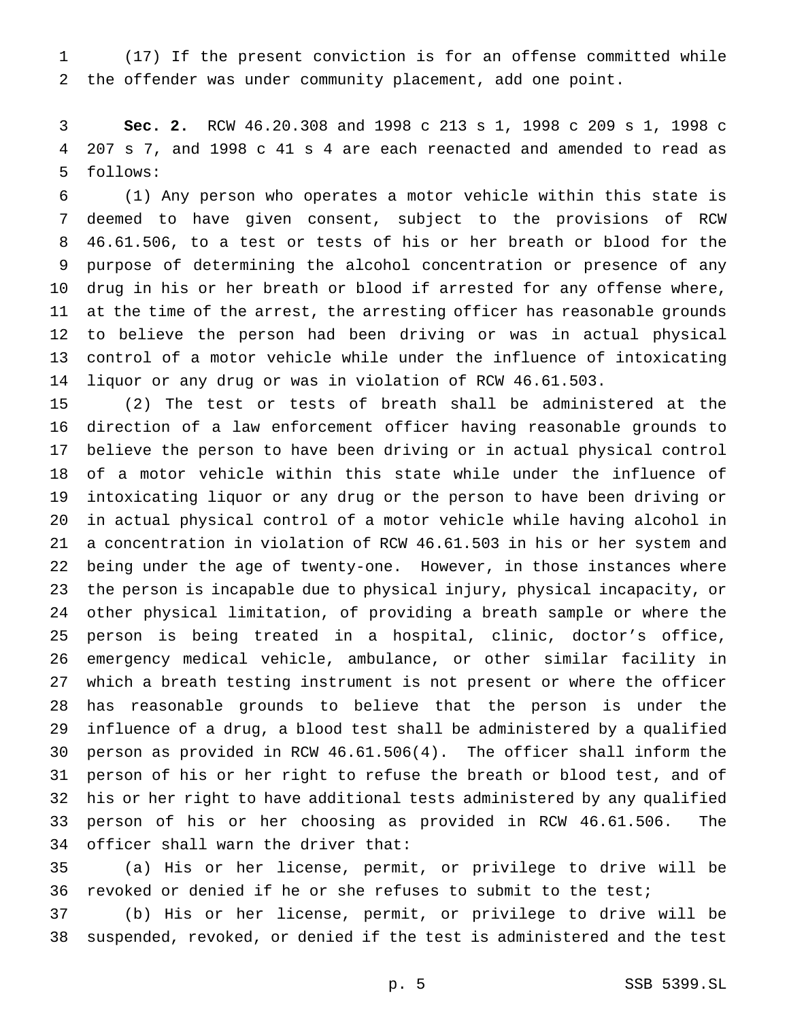(17) If the present conviction is for an offense committed while the offender was under community placement, add one point.

 **Sec. 2.** RCW 46.20.308 and 1998 c 213 s 1, 1998 c 209 s 1, 1998 c 207 s 7, and 1998 c 41 s 4 are each reenacted and amended to read as follows:

 (1) Any person who operates a motor vehicle within this state is deemed to have given consent, subject to the provisions of RCW 46.61.506, to a test or tests of his or her breath or blood for the purpose of determining the alcohol concentration or presence of any drug in his or her breath or blood if arrested for any offense where, at the time of the arrest, the arresting officer has reasonable grounds to believe the person had been driving or was in actual physical control of a motor vehicle while under the influence of intoxicating liquor or any drug or was in violation of RCW 46.61.503.

 (2) The test or tests of breath shall be administered at the direction of a law enforcement officer having reasonable grounds to believe the person to have been driving or in actual physical control of a motor vehicle within this state while under the influence of intoxicating liquor or any drug or the person to have been driving or in actual physical control of a motor vehicle while having alcohol in a concentration in violation of RCW 46.61.503 in his or her system and being under the age of twenty-one. However, in those instances where the person is incapable due to physical injury, physical incapacity, or other physical limitation, of providing a breath sample or where the person is being treated in a hospital, clinic, doctor's office, emergency medical vehicle, ambulance, or other similar facility in which a breath testing instrument is not present or where the officer has reasonable grounds to believe that the person is under the influence of a drug, a blood test shall be administered by a qualified person as provided in RCW 46.61.506(4). The officer shall inform the person of his or her right to refuse the breath or blood test, and of his or her right to have additional tests administered by any qualified person of his or her choosing as provided in RCW 46.61.506. The officer shall warn the driver that:

 (a) His or her license, permit, or privilege to drive will be revoked or denied if he or she refuses to submit to the test;

 (b) His or her license, permit, or privilege to drive will be suspended, revoked, or denied if the test is administered and the test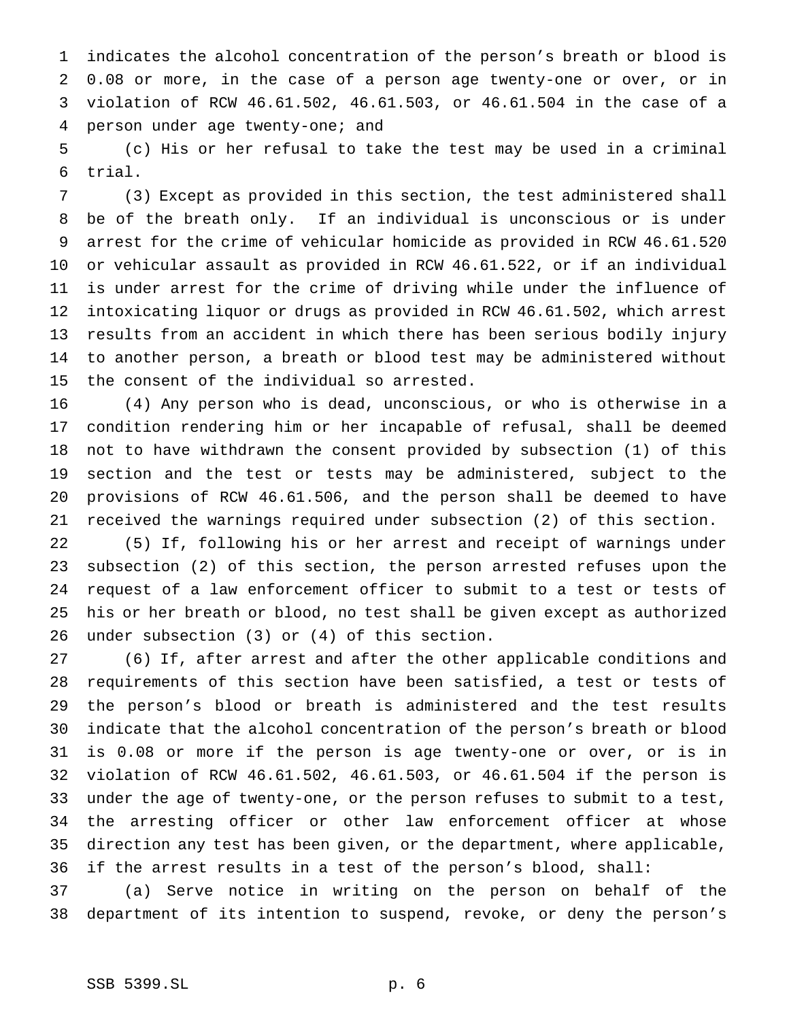indicates the alcohol concentration of the person's breath or blood is 0.08 or more, in the case of a person age twenty-one or over, or in violation of RCW 46.61.502, 46.61.503, or 46.61.504 in the case of a person under age twenty-one; and

 (c) His or her refusal to take the test may be used in a criminal trial.

 (3) Except as provided in this section, the test administered shall be of the breath only. If an individual is unconscious or is under arrest for the crime of vehicular homicide as provided in RCW 46.61.520 or vehicular assault as provided in RCW 46.61.522, or if an individual is under arrest for the crime of driving while under the influence of intoxicating liquor or drugs as provided in RCW 46.61.502, which arrest results from an accident in which there has been serious bodily injury to another person, a breath or blood test may be administered without the consent of the individual so arrested.

 (4) Any person who is dead, unconscious, or who is otherwise in a condition rendering him or her incapable of refusal, shall be deemed not to have withdrawn the consent provided by subsection (1) of this section and the test or tests may be administered, subject to the provisions of RCW 46.61.506, and the person shall be deemed to have received the warnings required under subsection (2) of this section.

 (5) If, following his or her arrest and receipt of warnings under subsection (2) of this section, the person arrested refuses upon the request of a law enforcement officer to submit to a test or tests of his or her breath or blood, no test shall be given except as authorized under subsection (3) or (4) of this section.

 (6) If, after arrest and after the other applicable conditions and requirements of this section have been satisfied, a test or tests of the person's blood or breath is administered and the test results indicate that the alcohol concentration of the person's breath or blood is 0.08 or more if the person is age twenty-one or over, or is in violation of RCW 46.61.502, 46.61.503, or 46.61.504 if the person is under the age of twenty-one, or the person refuses to submit to a test, the arresting officer or other law enforcement officer at whose direction any test has been given, or the department, where applicable, if the arrest results in a test of the person's blood, shall:

 (a) Serve notice in writing on the person on behalf of the department of its intention to suspend, revoke, or deny the person's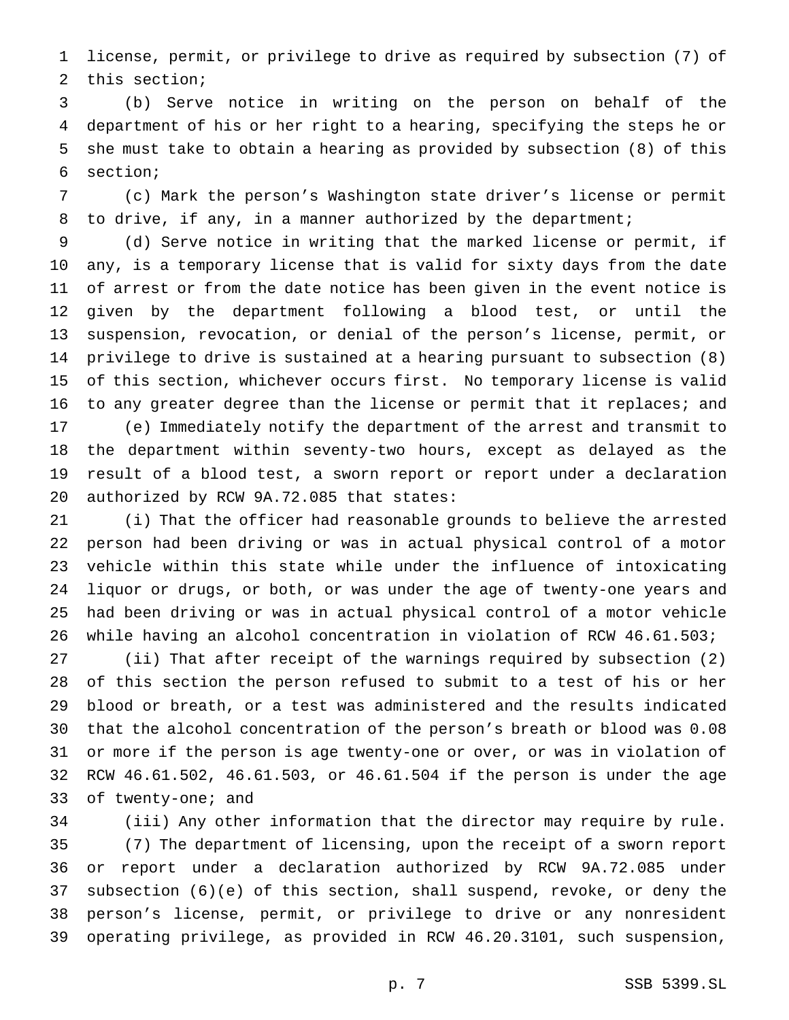license, permit, or privilege to drive as required by subsection (7) of this section;

 (b) Serve notice in writing on the person on behalf of the department of his or her right to a hearing, specifying the steps he or she must take to obtain a hearing as provided by subsection (8) of this section;

 (c) Mark the person's Washington state driver's license or permit 8 to drive, if any, in a manner authorized by the department;

 (d) Serve notice in writing that the marked license or permit, if any, is a temporary license that is valid for sixty days from the date of arrest or from the date notice has been given in the event notice is given by the department following a blood test, or until the suspension, revocation, or denial of the person's license, permit, or privilege to drive is sustained at a hearing pursuant to subsection (8) of this section, whichever occurs first. No temporary license is valid 16 to any greater degree than the license or permit that it replaces; and

 (e) Immediately notify the department of the arrest and transmit to the department within seventy-two hours, except as delayed as the result of a blood test, a sworn report or report under a declaration authorized by RCW 9A.72.085 that states:

 (i) That the officer had reasonable grounds to believe the arrested person had been driving or was in actual physical control of a motor vehicle within this state while under the influence of intoxicating liquor or drugs, or both, or was under the age of twenty-one years and had been driving or was in actual physical control of a motor vehicle while having an alcohol concentration in violation of RCW 46.61.503;

 (ii) That after receipt of the warnings required by subsection (2) of this section the person refused to submit to a test of his or her blood or breath, or a test was administered and the results indicated that the alcohol concentration of the person's breath or blood was 0.08 or more if the person is age twenty-one or over, or was in violation of RCW 46.61.502, 46.61.503, or 46.61.504 if the person is under the age of twenty-one; and

 (iii) Any other information that the director may require by rule. (7) The department of licensing, upon the receipt of a sworn report or report under a declaration authorized by RCW 9A.72.085 under subsection (6)(e) of this section, shall suspend, revoke, or deny the person's license, permit, or privilege to drive or any nonresident operating privilege, as provided in RCW 46.20.3101, such suspension,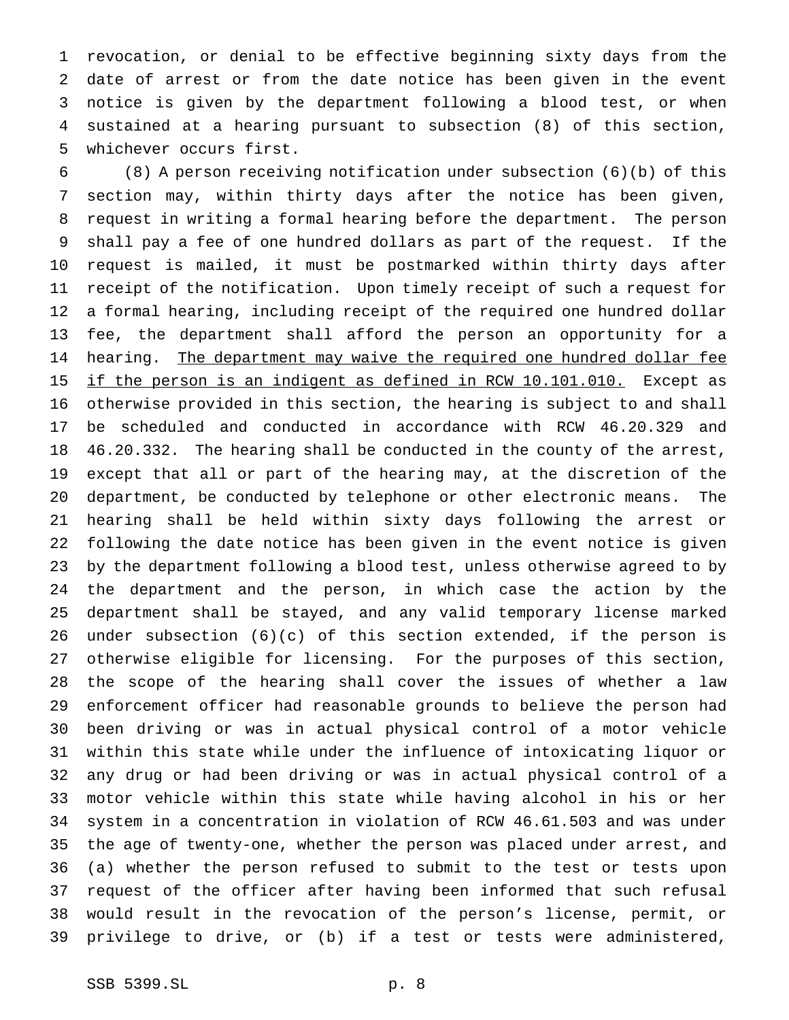revocation, or denial to be effective beginning sixty days from the date of arrest or from the date notice has been given in the event notice is given by the department following a blood test, or when sustained at a hearing pursuant to subsection (8) of this section, whichever occurs first.

 (8) A person receiving notification under subsection (6)(b) of this section may, within thirty days after the notice has been given, request in writing a formal hearing before the department. The person shall pay a fee of one hundred dollars as part of the request. If the request is mailed, it must be postmarked within thirty days after receipt of the notification. Upon timely receipt of such a request for a formal hearing, including receipt of the required one hundred dollar fee, the department shall afford the person an opportunity for a 14 hearing. The department may waive the required one hundred dollar fee 15 if the person is an indigent as defined in RCW 10.101.010. Except as otherwise provided in this section, the hearing is subject to and shall be scheduled and conducted in accordance with RCW 46.20.329 and 46.20.332. The hearing shall be conducted in the county of the arrest, except that all or part of the hearing may, at the discretion of the department, be conducted by telephone or other electronic means. The hearing shall be held within sixty days following the arrest or following the date notice has been given in the event notice is given by the department following a blood test, unless otherwise agreed to by the department and the person, in which case the action by the department shall be stayed, and any valid temporary license marked under subsection (6)(c) of this section extended, if the person is otherwise eligible for licensing. For the purposes of this section, the scope of the hearing shall cover the issues of whether a law enforcement officer had reasonable grounds to believe the person had been driving or was in actual physical control of a motor vehicle within this state while under the influence of intoxicating liquor or any drug or had been driving or was in actual physical control of a motor vehicle within this state while having alcohol in his or her system in a concentration in violation of RCW 46.61.503 and was under the age of twenty-one, whether the person was placed under arrest, and (a) whether the person refused to submit to the test or tests upon request of the officer after having been informed that such refusal would result in the revocation of the person's license, permit, or privilege to drive, or (b) if a test or tests were administered,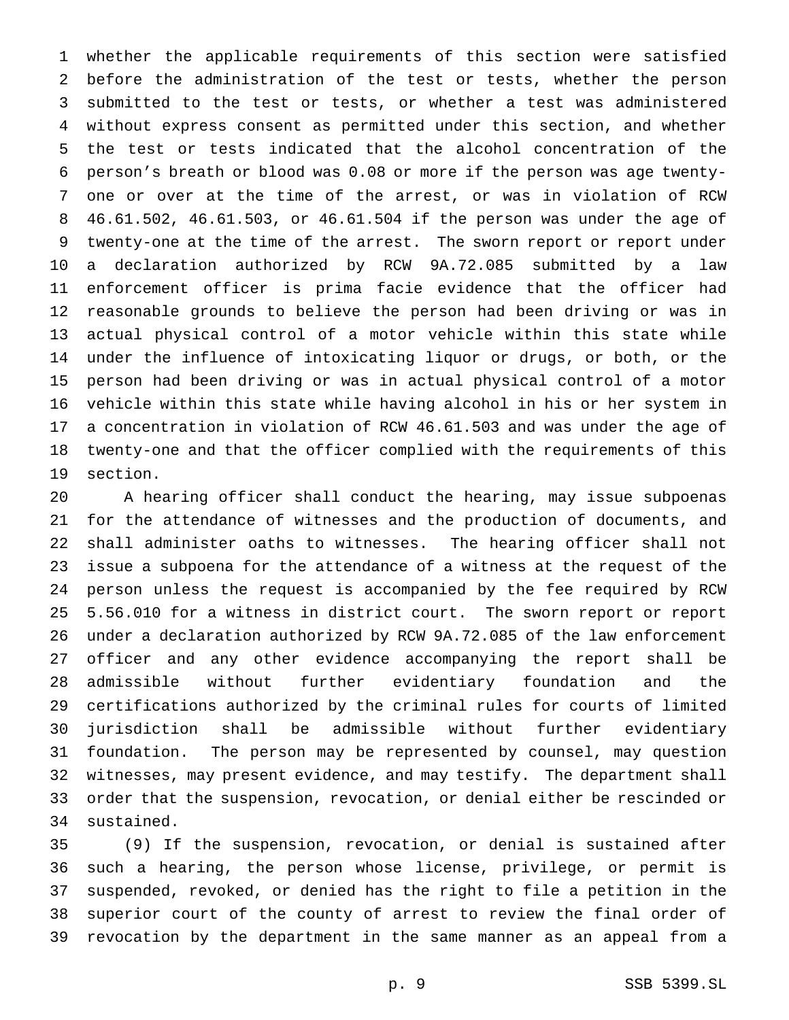whether the applicable requirements of this section were satisfied before the administration of the test or tests, whether the person submitted to the test or tests, or whether a test was administered without express consent as permitted under this section, and whether the test or tests indicated that the alcohol concentration of the person's breath or blood was 0.08 or more if the person was age twenty- one or over at the time of the arrest, or was in violation of RCW 46.61.502, 46.61.503, or 46.61.504 if the person was under the age of twenty-one at the time of the arrest. The sworn report or report under a declaration authorized by RCW 9A.72.085 submitted by a law enforcement officer is prima facie evidence that the officer had reasonable grounds to believe the person had been driving or was in actual physical control of a motor vehicle within this state while under the influence of intoxicating liquor or drugs, or both, or the person had been driving or was in actual physical control of a motor vehicle within this state while having alcohol in his or her system in a concentration in violation of RCW 46.61.503 and was under the age of twenty-one and that the officer complied with the requirements of this section.

 A hearing officer shall conduct the hearing, may issue subpoenas for the attendance of witnesses and the production of documents, and shall administer oaths to witnesses. The hearing officer shall not issue a subpoena for the attendance of a witness at the request of the person unless the request is accompanied by the fee required by RCW 5.56.010 for a witness in district court. The sworn report or report under a declaration authorized by RCW 9A.72.085 of the law enforcement officer and any other evidence accompanying the report shall be admissible without further evidentiary foundation and the certifications authorized by the criminal rules for courts of limited jurisdiction shall be admissible without further evidentiary foundation. The person may be represented by counsel, may question witnesses, may present evidence, and may testify. The department shall order that the suspension, revocation, or denial either be rescinded or sustained.

 (9) If the suspension, revocation, or denial is sustained after such a hearing, the person whose license, privilege, or permit is suspended, revoked, or denied has the right to file a petition in the superior court of the county of arrest to review the final order of revocation by the department in the same manner as an appeal from a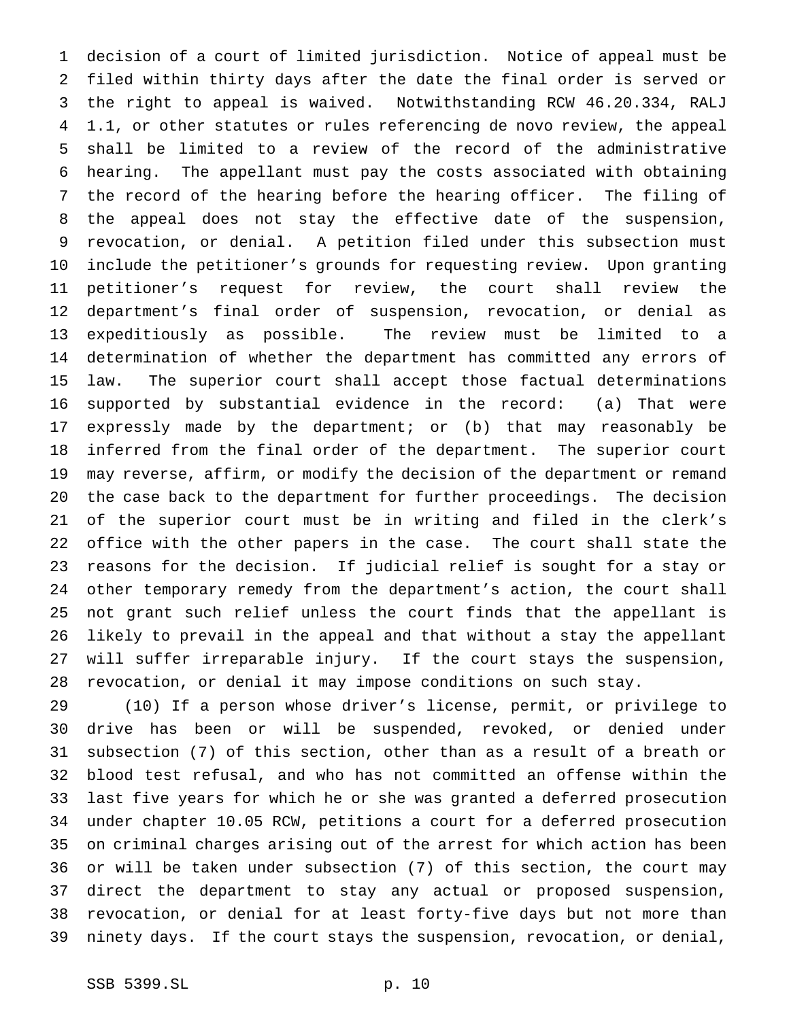decision of a court of limited jurisdiction. Notice of appeal must be filed within thirty days after the date the final order is served or the right to appeal is waived. Notwithstanding RCW 46.20.334, RALJ 1.1, or other statutes or rules referencing de novo review, the appeal shall be limited to a review of the record of the administrative hearing. The appellant must pay the costs associated with obtaining the record of the hearing before the hearing officer. The filing of the appeal does not stay the effective date of the suspension, revocation, or denial. A petition filed under this subsection must include the petitioner's grounds for requesting review. Upon granting petitioner's request for review, the court shall review the department's final order of suspension, revocation, or denial as expeditiously as possible. The review must be limited to a determination of whether the department has committed any errors of law. The superior court shall accept those factual determinations supported by substantial evidence in the record: (a) That were expressly made by the department; or (b) that may reasonably be inferred from the final order of the department. The superior court may reverse, affirm, or modify the decision of the department or remand the case back to the department for further proceedings. The decision of the superior court must be in writing and filed in the clerk's office with the other papers in the case. The court shall state the reasons for the decision. If judicial relief is sought for a stay or other temporary remedy from the department's action, the court shall not grant such relief unless the court finds that the appellant is likely to prevail in the appeal and that without a stay the appellant will suffer irreparable injury. If the court stays the suspension, revocation, or denial it may impose conditions on such stay.

 (10) If a person whose driver's license, permit, or privilege to drive has been or will be suspended, revoked, or denied under subsection (7) of this section, other than as a result of a breath or blood test refusal, and who has not committed an offense within the last five years for which he or she was granted a deferred prosecution under chapter 10.05 RCW, petitions a court for a deferred prosecution on criminal charges arising out of the arrest for which action has been or will be taken under subsection (7) of this section, the court may direct the department to stay any actual or proposed suspension, revocation, or denial for at least forty-five days but not more than ninety days. If the court stays the suspension, revocation, or denial,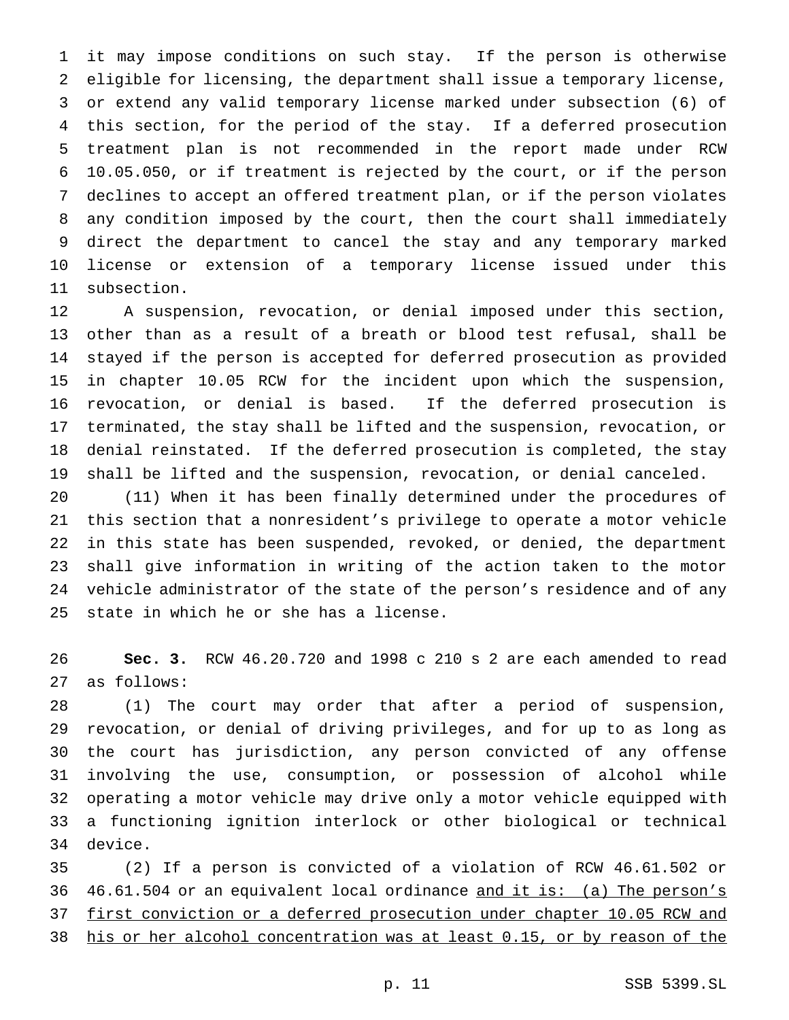it may impose conditions on such stay. If the person is otherwise eligible for licensing, the department shall issue a temporary license, or extend any valid temporary license marked under subsection (6) of this section, for the period of the stay. If a deferred prosecution treatment plan is not recommended in the report made under RCW 10.05.050, or if treatment is rejected by the court, or if the person declines to accept an offered treatment plan, or if the person violates any condition imposed by the court, then the court shall immediately direct the department to cancel the stay and any temporary marked license or extension of a temporary license issued under this subsection.

 A suspension, revocation, or denial imposed under this section, other than as a result of a breath or blood test refusal, shall be stayed if the person is accepted for deferred prosecution as provided in chapter 10.05 RCW for the incident upon which the suspension, revocation, or denial is based. If the deferred prosecution is terminated, the stay shall be lifted and the suspension, revocation, or denial reinstated. If the deferred prosecution is completed, the stay shall be lifted and the suspension, revocation, or denial canceled.

 (11) When it has been finally determined under the procedures of this section that a nonresident's privilege to operate a motor vehicle in this state has been suspended, revoked, or denied, the department shall give information in writing of the action taken to the motor vehicle administrator of the state of the person's residence and of any state in which he or she has a license.

 **Sec. 3.** RCW 46.20.720 and 1998 c 210 s 2 are each amended to read as follows:

 (1) The court may order that after a period of suspension, revocation, or denial of driving privileges, and for up to as long as the court has jurisdiction, any person convicted of any offense involving the use, consumption, or possession of alcohol while operating a motor vehicle may drive only a motor vehicle equipped with a functioning ignition interlock or other biological or technical device.

 (2) If a person is convicted of a violation of RCW 46.61.502 or 36 46.61.504 or an equivalent local ordinance and it is: (a) The person's first conviction or a deferred prosecution under chapter 10.05 RCW and his or her alcohol concentration was at least 0.15, or by reason of the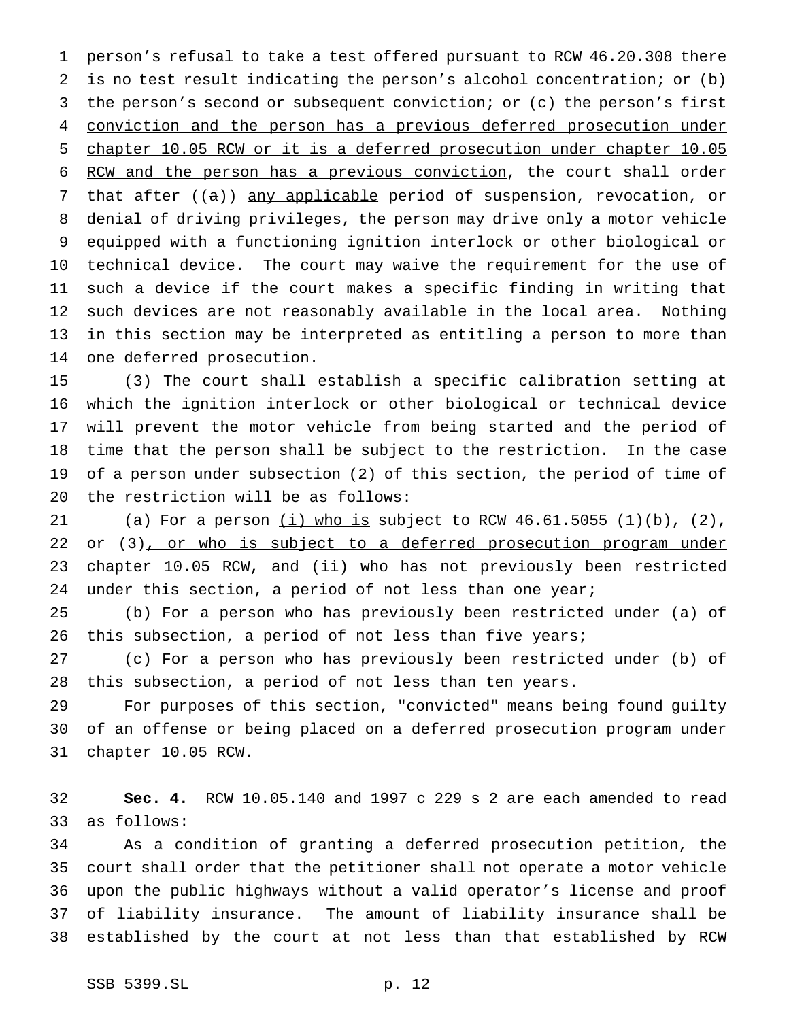person's refusal to take a test offered pursuant to RCW 46.20.308 there 2 is no test result indicating the person's alcohol concentration; or (b) 3 the person's second or subsequent conviction; or (c) the person's first 4 conviction and the person has a previous deferred prosecution under chapter 10.05 RCW or it is a deferred prosecution under chapter 10.05 6 RCW and the person has a previous conviction, the court shall order 7 that after ((a)) any applicable period of suspension, revocation, or denial of driving privileges, the person may drive only a motor vehicle equipped with a functioning ignition interlock or other biological or technical device. The court may waive the requirement for the use of such a device if the court makes a specific finding in writing that 12 such devices are not reasonably available in the local area. Nothing in this section may be interpreted as entitling a person to more than one deferred prosecution.

 (3) The court shall establish a specific calibration setting at which the ignition interlock or other biological or technical device will prevent the motor vehicle from being started and the period of time that the person shall be subject to the restriction. In the case of a person under subsection (2) of this section, the period of time of the restriction will be as follows:

21 (a) For a person  $(i)$  who is subject to RCW 46.61.5055 (1)(b), (2), 22 or (3), or who is subject to a deferred prosecution program under 23 chapter 10.05 RCW, and (ii) who has not previously been restricted under this section, a period of not less than one year;

 (b) For a person who has previously been restricted under (a) of 26 this subsection, a period of not less than five years;

 (c) For a person who has previously been restricted under (b) of this subsection, a period of not less than ten years.

 For purposes of this section, "convicted" means being found guilty of an offense or being placed on a deferred prosecution program under chapter 10.05 RCW.

 **Sec. 4.** RCW 10.05.140 and 1997 c 229 s 2 are each amended to read as follows:

 As a condition of granting a deferred prosecution petition, the court shall order that the petitioner shall not operate a motor vehicle upon the public highways without a valid operator's license and proof of liability insurance. The amount of liability insurance shall be established by the court at not less than that established by RCW